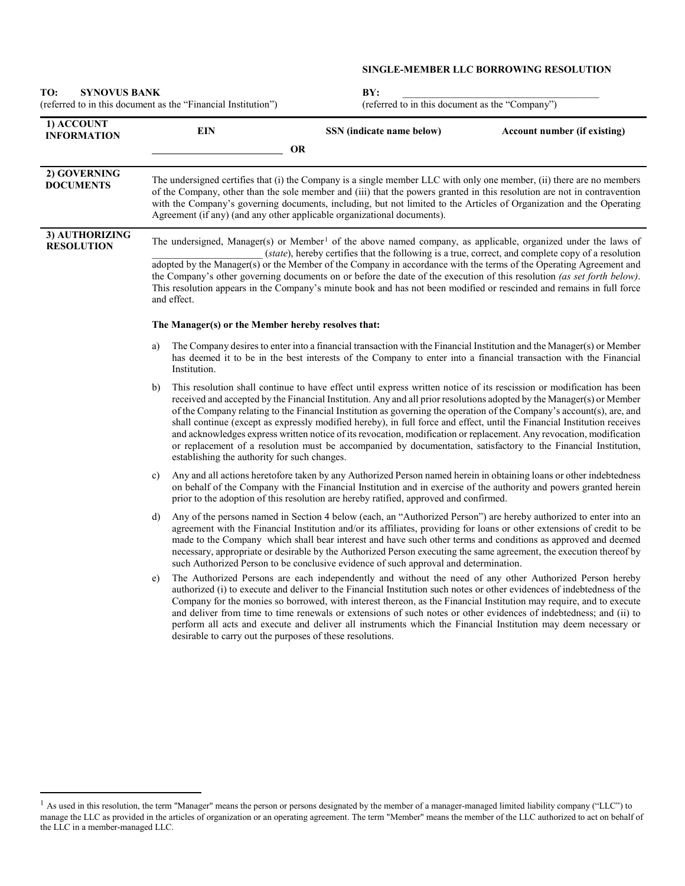## **SINGLE-MEMBER LLC BORROWING RESOLUTION**

| <b>SYNOVUS BANK</b><br>TO:<br>(referred to in this document as the "Financial Institution") |                                                                                                                                                                                                                                                                                                                                                                                                                                                                                                                                                                                                                                                                                |                                                                                                                                                                                                                                                                                                                                                                                                                                                                                                                                                                                                                                                                                                                                                | BY:<br>(referred to in this document as the "Company") |  |  |
|---------------------------------------------------------------------------------------------|--------------------------------------------------------------------------------------------------------------------------------------------------------------------------------------------------------------------------------------------------------------------------------------------------------------------------------------------------------------------------------------------------------------------------------------------------------------------------------------------------------------------------------------------------------------------------------------------------------------------------------------------------------------------------------|------------------------------------------------------------------------------------------------------------------------------------------------------------------------------------------------------------------------------------------------------------------------------------------------------------------------------------------------------------------------------------------------------------------------------------------------------------------------------------------------------------------------------------------------------------------------------------------------------------------------------------------------------------------------------------------------------------------------------------------------|--------------------------------------------------------|--|--|
| 1) ACCOUNT<br><b>INFORMATION</b>                                                            | <b>EIN</b>                                                                                                                                                                                                                                                                                                                                                                                                                                                                                                                                                                                                                                                                     | SSN (indicate name below)<br><b>OR</b>                                                                                                                                                                                                                                                                                                                                                                                                                                                                                                                                                                                                                                                                                                         | Account number (if existing)                           |  |  |
| 2) GOVERNING<br><b>DOCUMENTS</b>                                                            | The undersigned certifies that (i) the Company is a single member LLC with only one member, (ii) there are no members<br>of the Company, other than the sole member and (iii) that the powers granted in this resolution are not in contravention<br>with the Company's governing documents, including, but not limited to the Articles of Organization and the Operating<br>Agreement (if any) (and any other applicable organizational documents).                                                                                                                                                                                                                           |                                                                                                                                                                                                                                                                                                                                                                                                                                                                                                                                                                                                                                                                                                                                                |                                                        |  |  |
| 3) AUTHORIZING<br><b>RESOLUTION</b>                                                         | The undersigned, Manager(s) or Member <sup>1</sup> of the above named company, as applicable, organized under the laws of<br>(state), hereby certifies that the following is a true, correct, and complete copy of a resolution<br>adopted by the Manager(s) or the Member of the Company in accordance with the terms of the Operating Agreement and<br>the Company's other governing documents on or before the date of the execution of this resolution (as set forth below).<br>This resolution appears in the Company's minute book and has not been modified or rescinded and remains in full force<br>and effect.<br>The Manager(s) or the Member hereby resolves that: |                                                                                                                                                                                                                                                                                                                                                                                                                                                                                                                                                                                                                                                                                                                                                |                                                        |  |  |
|                                                                                             |                                                                                                                                                                                                                                                                                                                                                                                                                                                                                                                                                                                                                                                                                |                                                                                                                                                                                                                                                                                                                                                                                                                                                                                                                                                                                                                                                                                                                                                |                                                        |  |  |
|                                                                                             | a)<br>Institution.                                                                                                                                                                                                                                                                                                                                                                                                                                                                                                                                                                                                                                                             | The Company desires to enter into a financial transaction with the Financial Institution and the Manager(s) or Member<br>has deemed it to be in the best interests of the Company to enter into a financial transaction with the Financial                                                                                                                                                                                                                                                                                                                                                                                                                                                                                                     |                                                        |  |  |
|                                                                                             | b)<br>establishing the authority for such changes.                                                                                                                                                                                                                                                                                                                                                                                                                                                                                                                                                                                                                             | This resolution shall continue to have effect until express written notice of its rescission or modification has been<br>received and accepted by the Financial Institution. Any and all prior resolutions adopted by the Manager(s) or Member<br>of the Company relating to the Financial Institution as governing the operation of the Company's account(s), are, and<br>shall continue (except as expressly modified hereby), in full force and effect, until the Financial Institution receives<br>and acknowledges express written notice of its revocation, modification or replacement. Any revocation, modification<br>or replacement of a resolution must be accompanied by documentation, satisfactory to the Financial Institution, |                                                        |  |  |
|                                                                                             | c)                                                                                                                                                                                                                                                                                                                                                                                                                                                                                                                                                                                                                                                                             | Any and all actions heretofore taken by any Authorized Person named herein in obtaining loans or other indebtedness<br>on behalf of the Company with the Financial Institution and in exercise of the authority and powers granted herein<br>prior to the adoption of this resolution are hereby ratified, approved and confirmed.                                                                                                                                                                                                                                                                                                                                                                                                             |                                                        |  |  |
|                                                                                             | d)                                                                                                                                                                                                                                                                                                                                                                                                                                                                                                                                                                                                                                                                             | Any of the persons named in Section 4 below (each, an "Authorized Person") are hereby authorized to enter into an<br>agreement with the Financial Institution and/or its affiliates, providing for loans or other extensions of credit to be<br>made to the Company which shall bear interest and have such other terms and conditions as approved and deemed<br>necessary, appropriate or desirable by the Authorized Person executing the same agreement, the execution thereof by<br>such Authorized Person to be conclusive evidence of such approval and determination.                                                                                                                                                                   |                                                        |  |  |
|                                                                                             | e)                                                                                                                                                                                                                                                                                                                                                                                                                                                                                                                                                                                                                                                                             | The Authorized Persons are each independently and without the need of any other Authorized Person hereby<br>authorized (i) to execute and deliver to the Financial Institution such notes or other evidences of indebtedness of the<br>Company for the monies so borrowed, with interest thereon, as the Financial Institution may require, and to execute<br>and deliver from time to time renewals or extensions of such notes or other evidences of indebtedness; and (ii) to<br>perform all acts and execute and deliver all instruments which the Financial Institution may deem necessary or<br>desirable to carry out the purposes of these resolutions.                                                                                |                                                        |  |  |

<span id="page-0-0"></span><sup>&</sup>lt;sup>1</sup> As used in this resolution, the term "Manager" means the person or persons designated by the member of a manager-managed limited liability company ("LLC") to manage the LLC as provided in the articles of organization or an operating agreement. The term "Member" means the member of the LLC authorized to act on behalf of the LLC in a member-managed LLC.